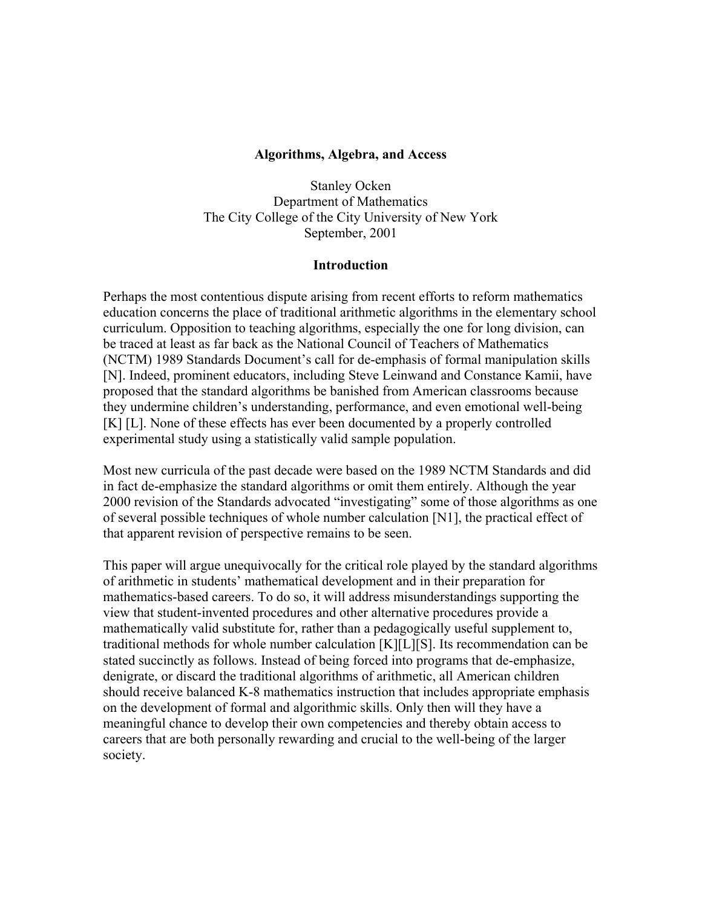#### **Algorithms, Algebra, and Access**

Stanley Ocken Department of Mathematics The City College of the City University of New York September, 2001

#### **Introduction**

Perhaps the most contentious dispute arising from recent efforts to reform mathematics education concerns the place of traditional arithmetic algorithms in the elementary school curriculum. Opposition to teaching algorithms, especially the one for long division, can be traced at least as far back as the National Council of Teachers of Mathematics (NCTM) 1989 Standards Document's call for de-emphasis of formal manipulation skills [N]. Indeed, prominent educators, including Steve Leinwand and Constance Kamii, have proposed that the standard algorithms be banished from American classrooms because they undermine children's understanding, performance, and even emotional well-being [K] [L]. None of these effects has ever been documented by a properly controlled experimental study using a statistically valid sample population.

Most new curricula of the past decade were based on the 1989 NCTM Standards and did in fact de-emphasize the standard algorithms or omit them entirely. Although the year 2000 revision of the Standards advocated "investigating" some of those algorithms as one of several possible techniques of whole number calculation [N1], the practical effect of that apparent revision of perspective remains to be seen.

This paper will argue unequivocally for the critical role played by the standard algorithms of arithmetic in students' mathematical development and in their preparation for mathematics-based careers. To do so, it will address misunderstandings supporting the view that student-invented procedures and other alternative procedures provide a mathematically valid substitute for, rather than a pedagogically useful supplement to, traditional methods for whole number calculation [K][L][S]. Its recommendation can be stated succinctly as follows. Instead of being forced into programs that de-emphasize, denigrate, or discard the traditional algorithms of arithmetic, all American children should receive balanced K-8 mathematics instruction that includes appropriate emphasis on the development of formal and algorithmic skills. Only then will they have a meaningful chance to develop their own competencies and thereby obtain access to careers that are both personally rewarding and crucial to the well-being of the larger society.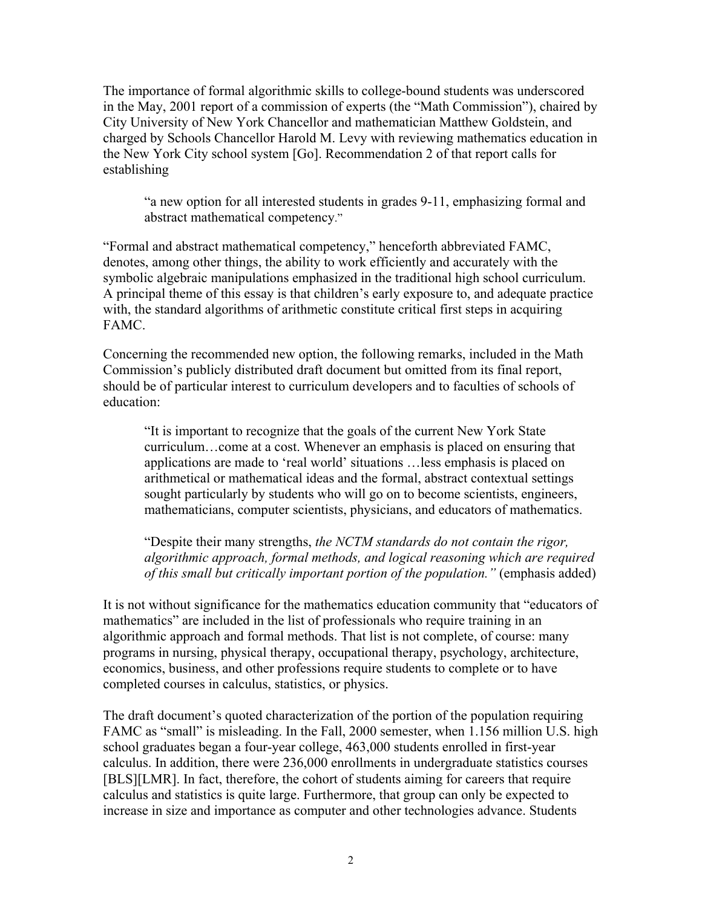The importance of formal algorithmic skills to college-bound students was underscored in the May, 2001 report of a commission of experts (the "Math Commission"), chaired by City University of New York Chancellor and mathematician Matthew Goldstein, and charged by Schools Chancellor Harold M. Levy with reviewing mathematics education in the New York City school system [Go]. Recommendation 2 of that report calls for establishing

"a new option for all interested students in grades 9-11, emphasizing formal and abstract mathematical competency."

"Formal and abstract mathematical competency," henceforth abbreviated FAMC, denotes, among other things, the ability to work efficiently and accurately with the symbolic algebraic manipulations emphasized in the traditional high school curriculum. A principal theme of this essay is that children's early exposure to, and adequate practice with, the standard algorithms of arithmetic constitute critical first steps in acquiring FAMC.

Concerning the recommended new option, the following remarks, included in the Math Commission's publicly distributed draft document but omitted from its final report, should be of particular interest to curriculum developers and to faculties of schools of education:

"It is important to recognize that the goals of the current New York State curriculum…come at a cost. Whenever an emphasis is placed on ensuring that applications are made to 'real world' situations …less emphasis is placed on arithmetical or mathematical ideas and the formal, abstract contextual settings sought particularly by students who will go on to become scientists, engineers, mathematicians, computer scientists, physicians, and educators of mathematics.

"Despite their many strengths, *the NCTM standards do not contain the rigor, algorithmic approach, formal methods, and logical reasoning which are required of this small but critically important portion of the population."* (emphasis added)

It is not without significance for the mathematics education community that "educators of mathematics" are included in the list of professionals who require training in an algorithmic approach and formal methods. That list is not complete, of course: many programs in nursing, physical therapy, occupational therapy, psychology, architecture, economics, business, and other professions require students to complete or to have completed courses in calculus, statistics, or physics.

The draft document's quoted characterization of the portion of the population requiring FAMC as "small" is misleading. In the Fall, 2000 semester, when 1.156 million U.S. high school graduates began a four-year college, 463,000 students enrolled in first-year calculus. In addition, there were 236,000 enrollments in undergraduate statistics courses [BLS][LMR]. In fact, therefore, the cohort of students aiming for careers that require calculus and statistics is quite large. Furthermore, that group can only be expected to increase in size and importance as computer and other technologies advance. Students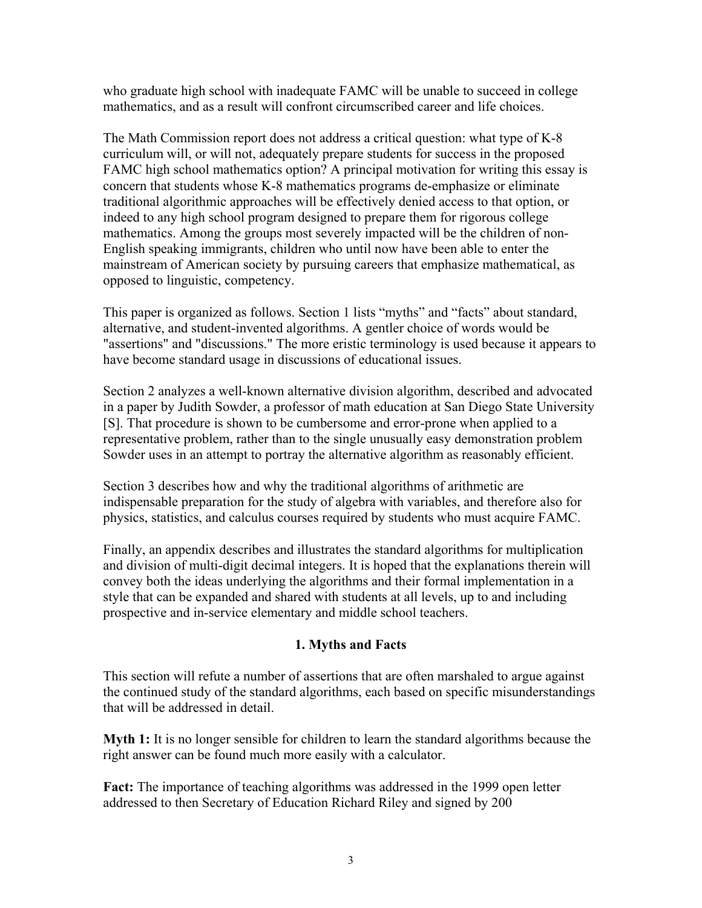who graduate high school with inadequate FAMC will be unable to succeed in college mathematics, and as a result will confront circumscribed career and life choices.

The Math Commission report does not address a critical question: what type of K-8 curriculum will, or will not, adequately prepare students for success in the proposed FAMC high school mathematics option? A principal motivation for writing this essay is concern that students whose K-8 mathematics programs de-emphasize or eliminate traditional algorithmic approaches will be effectively denied access to that option, or indeed to any high school program designed to prepare them for rigorous college mathematics. Among the groups most severely impacted will be the children of non-English speaking immigrants, children who until now have been able to enter the mainstream of American society by pursuing careers that emphasize mathematical, as opposed to linguistic, competency.

This paper is organized as follows. Section 1 lists "myths" and "facts" about standard, alternative, and student-invented algorithms. A gentler choice of words would be "assertions" and "discussions." The more eristic terminology is used because it appears to have become standard usage in discussions of educational issues.

Section 2 analyzes a well-known alternative division algorithm, described and advocated in a paper by Judith Sowder, a professor of math education at San Diego State University [S]. That procedure is shown to be cumbersome and error-prone when applied to a representative problem, rather than to the single unusually easy demonstration problem Sowder uses in an attempt to portray the alternative algorithm as reasonably efficient.

Section 3 describes how and why the traditional algorithms of arithmetic are indispensable preparation for the study of algebra with variables, and therefore also for physics, statistics, and calculus courses required by students who must acquire FAMC.

Finally, an appendix describes and illustrates the standard algorithms for multiplication and division of multi-digit decimal integers. It is hoped that the explanations therein will convey both the ideas underlying the algorithms and their formal implementation in a style that can be expanded and shared with students at all levels, up to and including prospective and in-service elementary and middle school teachers.

# **1. Myths and Facts**

This section will refute a number of assertions that are often marshaled to argue against the continued study of the standard algorithms, each based on specific misunderstandings that will be addressed in detail.

**Myth 1:** It is no longer sensible for children to learn the standard algorithms because the right answer can be found much more easily with a calculator.

**Fact:** The importance of teaching algorithms was addressed in the 1999 open letter addressed to then Secretary of Education Richard Riley and signed by 200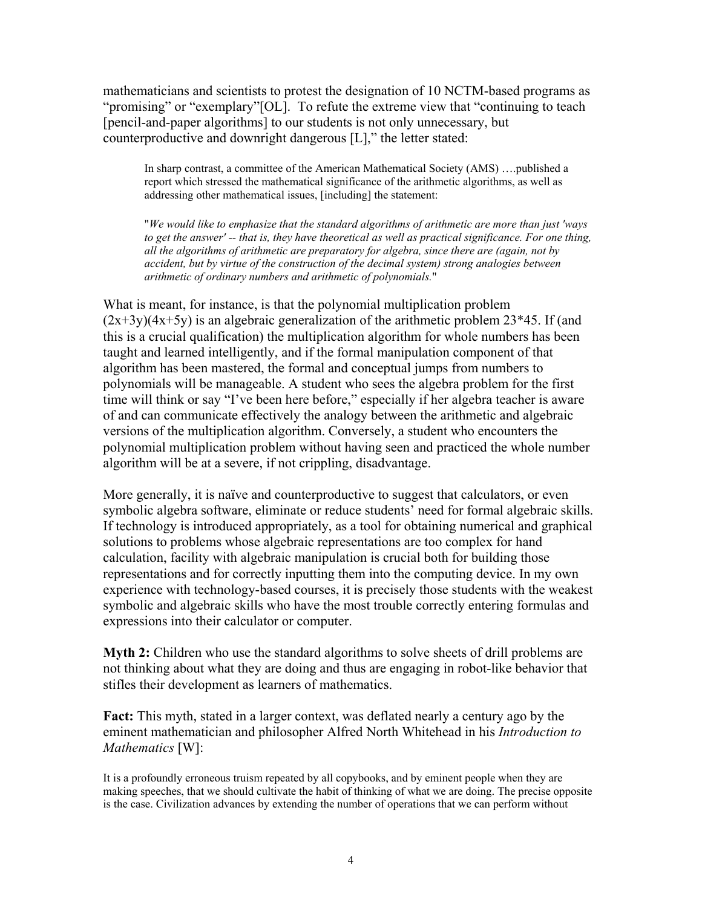mathematicians and scientists to protest the designation of 10 NCTM-based programs as "promising" or "exemplary"[OL]. To refute the extreme view that "continuing to teach [pencil-and-paper algorithms] to our students is not only unnecessary, but counterproductive and downright dangerous [L]," the letter stated:

In sharp contrast, a committee of the American Mathematical Society (AMS) ….published a report which stressed the mathematical significance of the arithmetic algorithms, as well as addressing other mathematical issues, [including] the statement:

"*We would like to emphasize that the standard algorithms of arithmetic are more than just 'ways to get the answer' -- that is, they have theoretical as well as practical significance. For one thing, all the algorithms of arithmetic are preparatory for algebra, since there are (again, not by accident, but by virtue of the construction of the decimal system) strong analogies between arithmetic of ordinary numbers and arithmetic of polynomials.*"

What is meant, for instance, is that the polynomial multiplication problem  $(2x+3y)(4x+5y)$  is an algebraic generalization of the arithmetic problem 23\*45. If (and this is a crucial qualification) the multiplication algorithm for whole numbers has been taught and learned intelligently, and if the formal manipulation component of that algorithm has been mastered, the formal and conceptual jumps from numbers to polynomials will be manageable. A student who sees the algebra problem for the first time will think or say "I've been here before," especially if her algebra teacher is aware of and can communicate effectively the analogy between the arithmetic and algebraic versions of the multiplication algorithm. Conversely, a student who encounters the polynomial multiplication problem without having seen and practiced the whole number algorithm will be at a severe, if not crippling, disadvantage.

More generally, it is naïve and counterproductive to suggest that calculators, or even symbolic algebra software, eliminate or reduce students' need for formal algebraic skills. If technology is introduced appropriately, as a tool for obtaining numerical and graphical solutions to problems whose algebraic representations are too complex for hand calculation, facility with algebraic manipulation is crucial both for building those representations and for correctly inputting them into the computing device. In my own experience with technology-based courses, it is precisely those students with the weakest symbolic and algebraic skills who have the most trouble correctly entering formulas and expressions into their calculator or computer.

**Myth 2:** Children who use the standard algorithms to solve sheets of drill problems are not thinking about what they are doing and thus are engaging in robot-like behavior that stifles their development as learners of mathematics.

**Fact:** This myth, stated in a larger context, was deflated nearly a century ago by the eminent mathematician and philosopher Alfred North Whitehead in his *Introduction to Mathematics* [W]:

It is a profoundly erroneous truism repeated by all copybooks, and by eminent people when they are making speeches, that we should cultivate the habit of thinking of what we are doing. The precise opposite is the case. Civilization advances by extending the number of operations that we can perform without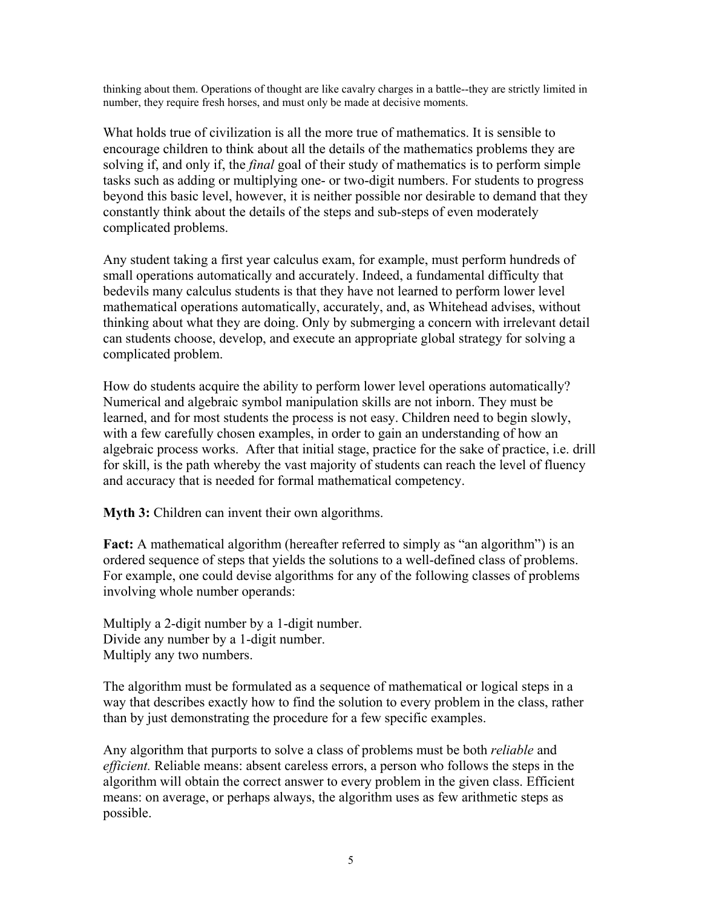thinking about them. Operations of thought are like cavalry charges in a battle--they are strictly limited in number, they require fresh horses, and must only be made at decisive moments.

What holds true of civilization is all the more true of mathematics. It is sensible to encourage children to think about all the details of the mathematics problems they are solving if, and only if, the *final* goal of their study of mathematics is to perform simple tasks such as adding or multiplying one- or two-digit numbers. For students to progress beyond this basic level, however, it is neither possible nor desirable to demand that they constantly think about the details of the steps and sub-steps of even moderately complicated problems.

Any student taking a first year calculus exam, for example, must perform hundreds of small operations automatically and accurately. Indeed, a fundamental difficulty that bedevils many calculus students is that they have not learned to perform lower level mathematical operations automatically, accurately, and, as Whitehead advises, without thinking about what they are doing. Only by submerging a concern with irrelevant detail can students choose, develop, and execute an appropriate global strategy for solving a complicated problem.

How do students acquire the ability to perform lower level operations automatically? Numerical and algebraic symbol manipulation skills are not inborn. They must be learned, and for most students the process is not easy. Children need to begin slowly, with a few carefully chosen examples, in order to gain an understanding of how an algebraic process works. After that initial stage, practice for the sake of practice, i.e. drill for skill, is the path whereby the vast majority of students can reach the level of fluency and accuracy that is needed for formal mathematical competency.

**Myth 3:** Children can invent their own algorithms.

**Fact:** A mathematical algorithm (hereafter referred to simply as "an algorithm") is an ordered sequence of steps that yields the solutions to a well-defined class of problems. For example, one could devise algorithms for any of the following classes of problems involving whole number operands:

Multiply a 2-digit number by a 1-digit number. Divide any number by a 1-digit number. Multiply any two numbers.

The algorithm must be formulated as a sequence of mathematical or logical steps in a way that describes exactly how to find the solution to every problem in the class, rather than by just demonstrating the procedure for a few specific examples.

Any algorithm that purports to solve a class of problems must be both *reliable* and *efficient.* Reliable means: absent careless errors, a person who follows the steps in the algorithm will obtain the correct answer to every problem in the given class. Efficient means: on average, or perhaps always, the algorithm uses as few arithmetic steps as possible.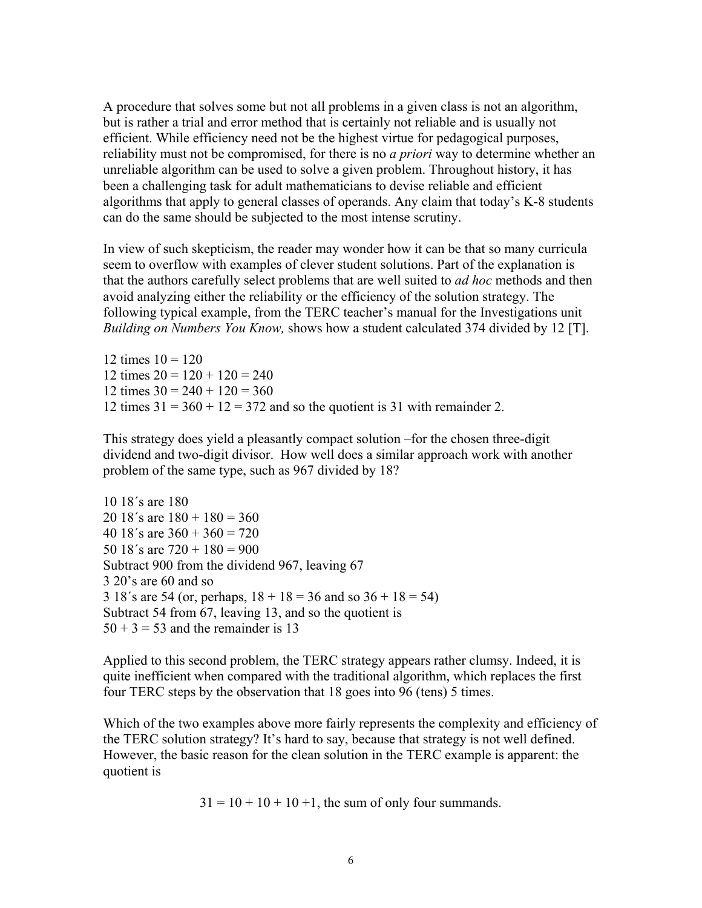A procedure that solves some but not all problems in a given class is not an algorithm, but is rather a trial and error method that is certainly not reliable and is usually not efficient. While efficiency need not be the highest virtue for pedagogical purposes, reliability must not be compromised, for there is no *a priori* way to determine whether an unreliable algorithm can be used to solve a given problem. Throughout history, it has been a challenging task for adult mathematicians to devise reliable and efficient algorithms that apply to general classes of operands. Any claim that today's K-8 students can do the same should be subjected to the most intense scrutiny.

In view of such skepticism, the reader may wonder how it can be that so many curricula seem to overflow with examples of clever student solutions. Part of the explanation is that the authors carefully select problems that are well suited to *ad hoc* methods and then avoid analyzing either the reliability or the efficiency of the solution strategy. The following typical example, from the TERC teacher's manual for the Investigations unit *Building on Numbers You Know,* shows how a student calculated 374 divided by 12 [T].

12 times  $10 = 120$ 12 times  $20 = 120 + 120 = 240$ 12 times  $30 = 240 + 120 = 360$ 12 times  $31 = 360 + 12 = 372$  and so the quotient is 31 with remainder 2.

This strategy does yield a pleasantly compact solution –for the chosen three-digit dividend and two-digit divisor. How well does a similar approach work with another problem of the same type, such as 967 divided by 18?

10 18´s are 180 20 18's are  $180 + 180 = 360$ 40 18's are  $360 + 360 = 720$ 50 18's are  $720 + 180 = 900$ Subtract 900 from the dividend 967, leaving 67 3 20's are 60 and so 3 18's are 54 (or, perhaps,  $18 + 18 = 36$  and so  $36 + 18 = 54$ ) Subtract 54 from 67, leaving 13, and so the quotient is  $50 + 3 = 53$  and the remainder is 13

Applied to this second problem, the TERC strategy appears rather clumsy. Indeed, it is quite inefficient when compared with the traditional algorithm, which replaces the first four TERC steps by the observation that 18 goes into 96 (tens) 5 times.

Which of the two examples above more fairly represents the complexity and efficiency of the TERC solution strategy? It's hard to say, because that strategy is not well defined. However, the basic reason for the clean solution in the TERC example is apparent: the quotient is

 $31 = 10 + 10 + 10 + 1$ , the sum of only four summands.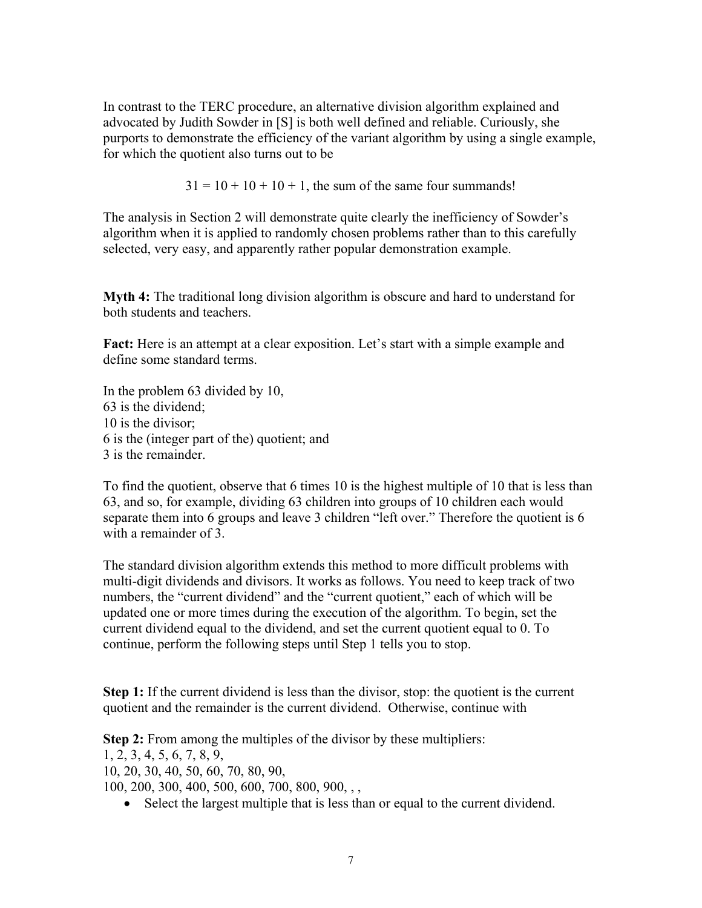In contrast to the TERC procedure, an alternative division algorithm explained and advocated by Judith Sowder in [S] is both well defined and reliable. Curiously, she purports to demonstrate the efficiency of the variant algorithm by using a single example, for which the quotient also turns out to be

 $31 = 10 + 10 + 10 + 1$ , the sum of the same four summands!

The analysis in Section 2 will demonstrate quite clearly the inefficiency of Sowder's algorithm when it is applied to randomly chosen problems rather than to this carefully selected, very easy, and apparently rather popular demonstration example.

**Myth 4:** The traditional long division algorithm is obscure and hard to understand for both students and teachers.

**Fact:** Here is an attempt at a clear exposition. Let's start with a simple example and define some standard terms.

In the problem 63 divided by 10, 63 is the dividend; 10 is the divisor; 6 is the (integer part of the) quotient; and 3 is the remainder.

To find the quotient, observe that 6 times 10 is the highest multiple of 10 that is less than 63, and so, for example, dividing 63 children into groups of 10 children each would separate them into 6 groups and leave 3 children "left over." Therefore the quotient is 6 with a remainder of 3.

The standard division algorithm extends this method to more difficult problems with multi-digit dividends and divisors. It works as follows. You need to keep track of two numbers, the "current dividend" and the "current quotient," each of which will be updated one or more times during the execution of the algorithm. To begin, set the current dividend equal to the dividend, and set the current quotient equal to 0. To continue, perform the following steps until Step 1 tells you to stop.

**Step 1:** If the current dividend is less than the divisor, stop: the quotient is the current quotient and the remainder is the current dividend. Otherwise, continue with

**Step 2:** From among the multiples of the divisor by these multipliers: 1, 2, 3, 4, 5, 6, 7, 8, 9, 10, 20, 30, 40, 50, 60, 70, 80, 90, 100, 200, 300, 400, 500, 600, 700, 800, 900, , ,

• Select the largest multiple that is less than or equal to the current dividend.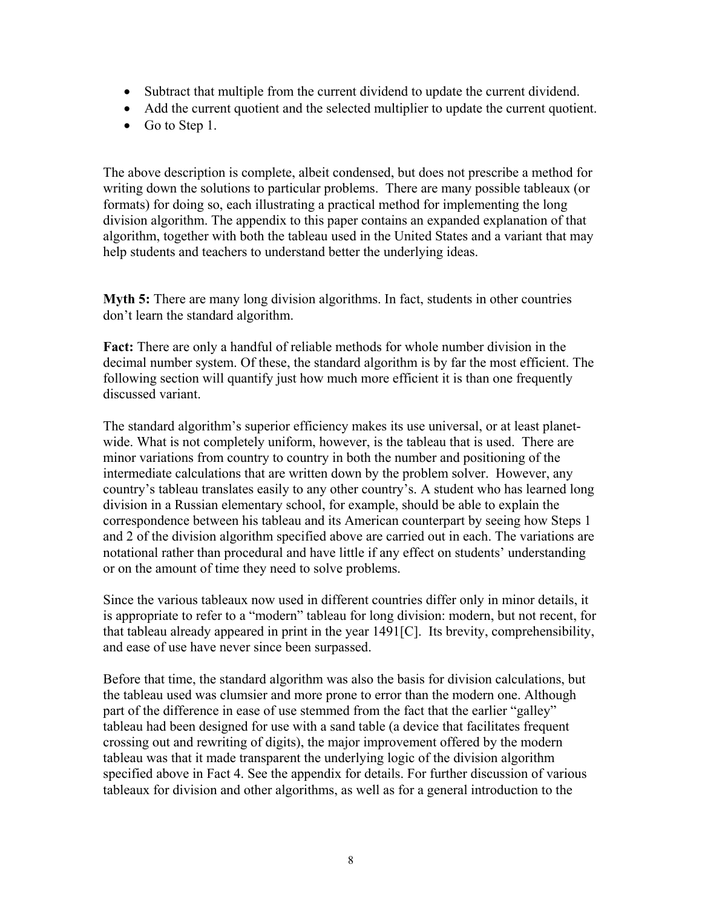- Subtract that multiple from the current dividend to update the current dividend.
- Add the current quotient and the selected multiplier to update the current quotient.
- Go to Step 1.

The above description is complete, albeit condensed, but does not prescribe a method for writing down the solutions to particular problems. There are many possible tableaux (or formats) for doing so, each illustrating a practical method for implementing the long division algorithm. The appendix to this paper contains an expanded explanation of that algorithm, together with both the tableau used in the United States and a variant that may help students and teachers to understand better the underlying ideas.

**Myth 5:** There are many long division algorithms. In fact, students in other countries don't learn the standard algorithm.

**Fact:** There are only a handful of reliable methods for whole number division in the decimal number system. Of these, the standard algorithm is by far the most efficient. The following section will quantify just how much more efficient it is than one frequently discussed variant.

The standard algorithm's superior efficiency makes its use universal, or at least planetwide. What is not completely uniform, however, is the tableau that is used. There are minor variations from country to country in both the number and positioning of the intermediate calculations that are written down by the problem solver. However, any country's tableau translates easily to any other country's. A student who has learned long division in a Russian elementary school, for example, should be able to explain the correspondence between his tableau and its American counterpart by seeing how Steps 1 and 2 of the division algorithm specified above are carried out in each. The variations are notational rather than procedural and have little if any effect on students' understanding or on the amount of time they need to solve problems.

Since the various tableaux now used in different countries differ only in minor details, it is appropriate to refer to a "modern" tableau for long division: modern, but not recent, for that tableau already appeared in print in the year 1491[C]. Its brevity, comprehensibility, and ease of use have never since been surpassed.

Before that time, the standard algorithm was also the basis for division calculations, but the tableau used was clumsier and more prone to error than the modern one. Although part of the difference in ease of use stemmed from the fact that the earlier "galley" tableau had been designed for use with a sand table (a device that facilitates frequent crossing out and rewriting of digits), the major improvement offered by the modern tableau was that it made transparent the underlying logic of the division algorithm specified above in Fact 4. See the appendix for details. For further discussion of various tableaux for division and other algorithms, as well as for a general introduction to the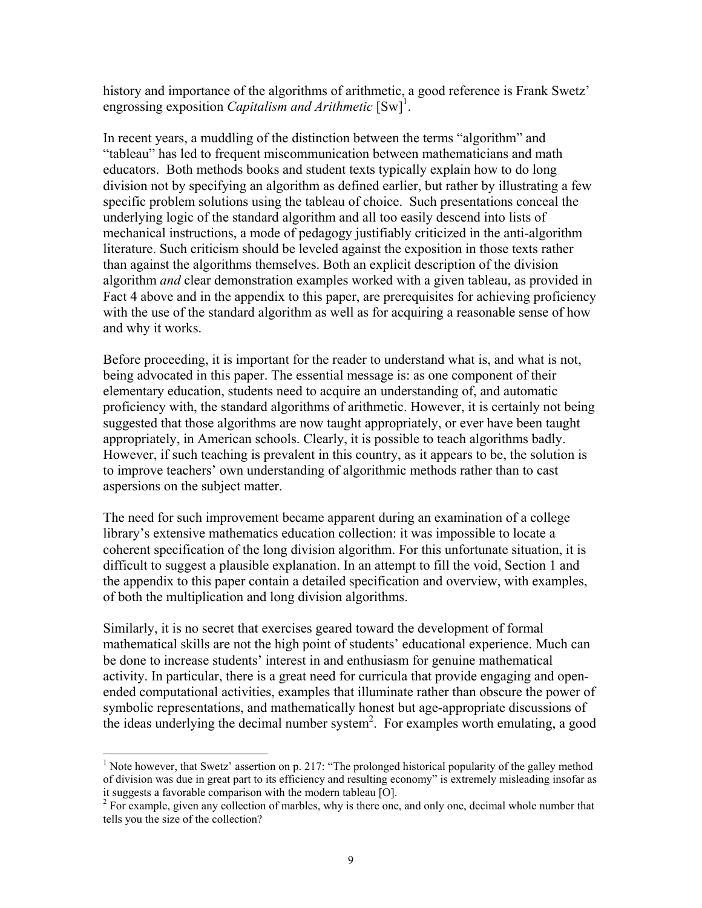history and importance of the algorithms of arithmetic, a good reference is Frank Swetz' engrossing exposition *Capitalism and Arithmetic*  $[Sw]$ <sup>1</sup>.

In recent years, a muddling of the distinction between the terms "algorithm" and "tableau" has led to frequent miscommunication between mathematicians and math educators. Both methods books and student texts typically explain how to do long division not by specifying an algorithm as defined earlier, but rather by illustrating a few specific problem solutions using the tableau of choice. Such presentations conceal the underlying logic of the standard algorithm and all too easily descend into lists of mechanical instructions, a mode of pedagogy justifiably criticized in the anti-algorithm literature. Such criticism should be leveled against the exposition in those texts rather than against the algorithms themselves. Both an explicit description of the division algorithm *and* clear demonstration examples worked with a given tableau, as provided in Fact 4 above and in the appendix to this paper, are prerequisites for achieving proficiency with the use of the standard algorithm as well as for acquiring a reasonable sense of how and why it works.

Before proceeding, it is important for the reader to understand what is, and what is not, being advocated in this paper. The essential message is: as one component of their elementary education, students need to acquire an understanding of, and automatic proficiency with, the standard algorithms of arithmetic. However, it is certainly not being suggested that those algorithms are now taught appropriately, or ever have been taught appropriately, in American schools. Clearly, it is possible to teach algorithms badly. However, if such teaching is prevalent in this country, as it appears to be, the solution is to improve teachers' own understanding of algorithmic methods rather than to cast aspersions on the subject matter.

The need for such improvement became apparent during an examination of a college library's extensive mathematics education collection: it was impossible to locate a coherent specification of the long division algorithm. For this unfortunate situation, it is difficult to suggest a plausible explanation. In an attempt to fill the void, Section 1 and the appendix to this paper contain a detailed specification and overview, with examples, of both the multiplication and long division algorithms.

Similarly, it is no secret that exercises geared toward the development of formal mathematical skills are not the high point of students' educational experience. Much can be done to increase students' interest in and enthusiasm for genuine mathematical activity. In particular, there is a great need for curricula that provide engaging and openended computational activities, examples that illuminate rather than obscure the power of symbolic representations, and mathematically honest but age-appropriate discussions of the ideas underlying the decimal number system<sup>2</sup>. For examples worth emulating, a good

 $\overline{a}$ 

<sup>&</sup>lt;sup>1</sup> Note however, that Swetz' assertion on p. 217: "The prolonged historical popularity of the galley method of division was due in great part to its efficiency and resulting economy" is extremely misleading insofar as it suggests a favorable comparison with the modern tableau [O].

 $2^{2}$  For example, given any collection of marbles, why is there one, and only one, decimal whole number that tells you the size of the collection?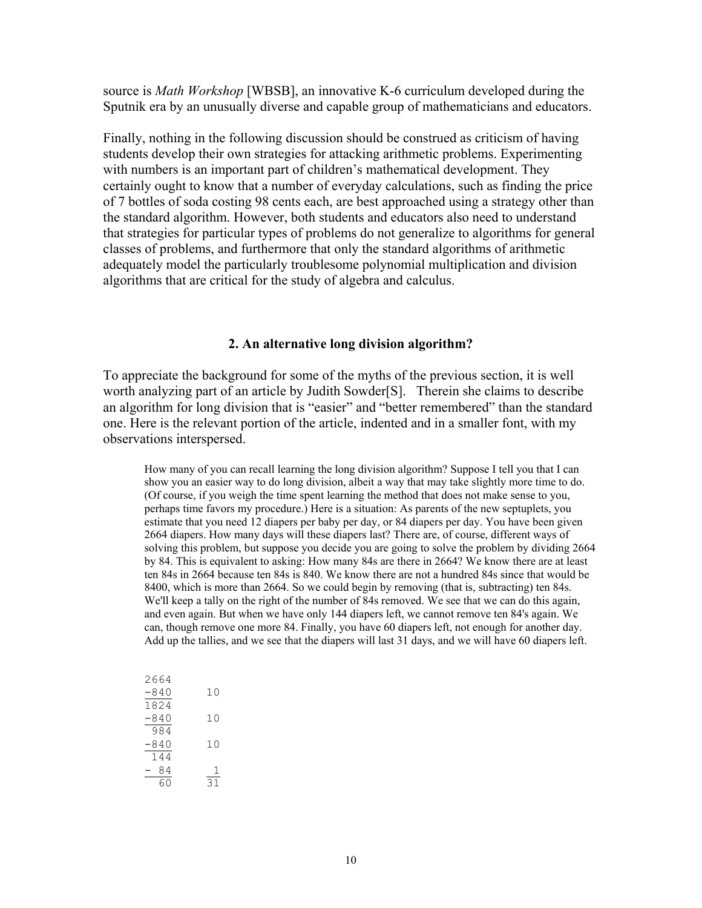source is *Math Workshop* [WBSB], an innovative K-6 curriculum developed during the Sputnik era by an unusually diverse and capable group of mathematicians and educators.

Finally, nothing in the following discussion should be construed as criticism of having students develop their own strategies for attacking arithmetic problems. Experimenting with numbers is an important part of children's mathematical development. They certainly ought to know that a number of everyday calculations, such as finding the price of 7 bottles of soda costing 98 cents each, are best approached using a strategy other than the standard algorithm. However, both students and educators also need to understand that strategies for particular types of problems do not generalize to algorithms for general classes of problems, and furthermore that only the standard algorithms of arithmetic adequately model the particularly troublesome polynomial multiplication and division algorithms that are critical for the study of algebra and calculus.

#### **2. An alternative long division algorithm?**

To appreciate the background for some of the myths of the previous section, it is well worth analyzing part of an article by Judith Sowder[S]. Therein she claims to describe an algorithm for long division that is "easier" and "better remembered" than the standard one. Here is the relevant portion of the article, indented and in a smaller font, with my observations interspersed.

How many of you can recall learning the long division algorithm? Suppose I tell you that I can show you an easier way to do long division, albeit a way that may take slightly more time to do. (Of course, if you weigh the time spent learning the method that does not make sense to you, perhaps time favors my procedure.) Here is a situation: As parents of the new septuplets, you estimate that you need 12 diapers per baby per day, or 84 diapers per day. You have been given 2664 diapers. How many days will these diapers last? There are, of course, different ways of solving this problem, but suppose you decide you are going to solve the problem by dividing 2664 by 84. This is equivalent to asking: How many 84s are there in 2664? We know there are at least ten 84s in 2664 because ten 84s is 840. We know there are not a hundred 84s since that would be 8400, which is more than 2664. So we could begin by removing (that is, subtracting) ten 84s. We'll keep a tally on the right of the number of 84s removed. We see that we can do this again, and even again. But when we have only 144 diapers left, we cannot remove ten 84's again. We can, though remove one more 84. Finally, you have 60 diapers left, not enough for another day. Add up the tallies, and we see that the diapers will last 31 days, and we will have 60 diapers left.

| 2664   |    |
|--------|----|
| $-840$ | 10 |
| 1824   |    |
| $-840$ | 10 |
| 984    |    |
| $-840$ | 10 |
| 144    |    |
| 84     |    |
| 60     | っ  |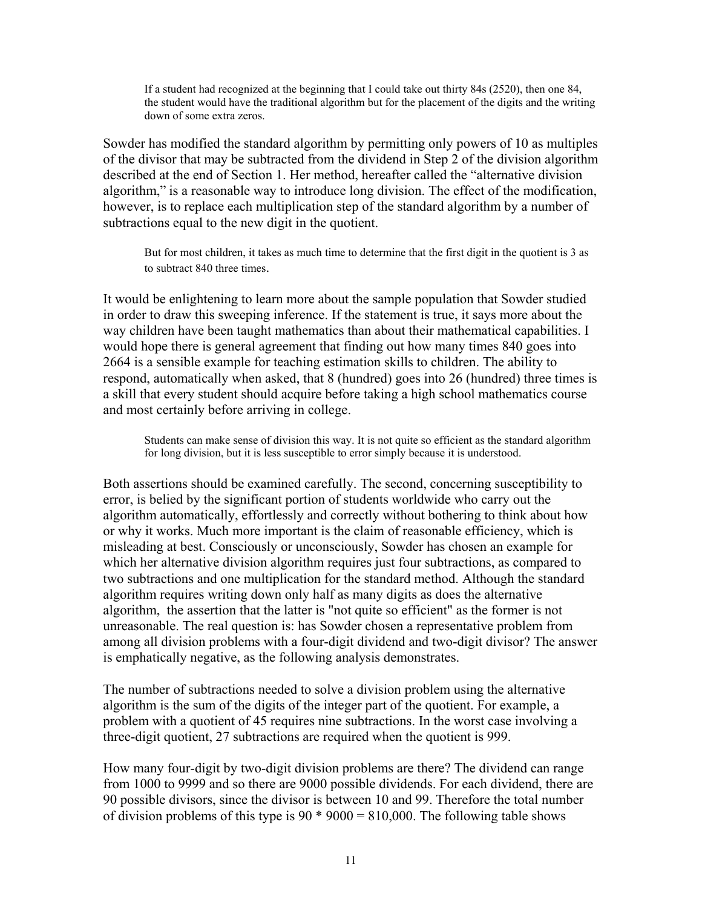If a student had recognized at the beginning that I could take out thirty 84s (2520), then one 84, the student would have the traditional algorithm but for the placement of the digits and the writing down of some extra zeros.

Sowder has modified the standard algorithm by permitting only powers of 10 as multiples of the divisor that may be subtracted from the dividend in Step 2 of the division algorithm described at the end of Section 1. Her method, hereafter called the "alternative division algorithm," is a reasonable way to introduce long division. The effect of the modification, however, is to replace each multiplication step of the standard algorithm by a number of subtractions equal to the new digit in the quotient.

But for most children, it takes as much time to determine that the first digit in the quotient is 3 as to subtract 840 three times.

It would be enlightening to learn more about the sample population that Sowder studied in order to draw this sweeping inference. If the statement is true, it says more about the way children have been taught mathematics than about their mathematical capabilities. I would hope there is general agreement that finding out how many times 840 goes into 2664 is a sensible example for teaching estimation skills to children. The ability to respond, automatically when asked, that 8 (hundred) goes into 26 (hundred) three times is a skill that every student should acquire before taking a high school mathematics course and most certainly before arriving in college.

 Students can make sense of division this way. It is not quite so efficient as the standard algorithm for long division, but it is less susceptible to error simply because it is understood.

Both assertions should be examined carefully. The second, concerning susceptibility to error, is belied by the significant portion of students worldwide who carry out the algorithm automatically, effortlessly and correctly without bothering to think about how or why it works. Much more important is the claim of reasonable efficiency, which is misleading at best. Consciously or unconsciously, Sowder has chosen an example for which her alternative division algorithm requires just four subtractions, as compared to two subtractions and one multiplication for the standard method. Although the standard algorithm requires writing down only half as many digits as does the alternative algorithm, the assertion that the latter is "not quite so efficient" as the former is not unreasonable. The real question is: has Sowder chosen a representative problem from among all division problems with a four-digit dividend and two-digit divisor? The answer is emphatically negative, as the following analysis demonstrates.

The number of subtractions needed to solve a division problem using the alternative algorithm is the sum of the digits of the integer part of the quotient. For example, a problem with a quotient of 45 requires nine subtractions. In the worst case involving a three-digit quotient, 27 subtractions are required when the quotient is 999.

How many four-digit by two-digit division problems are there? The dividend can range from 1000 to 9999 and so there are 9000 possible dividends. For each dividend, there are 90 possible divisors, since the divisor is between 10 and 99. Therefore the total number of division problems of this type is  $90*9000 = 810,000$ . The following table shows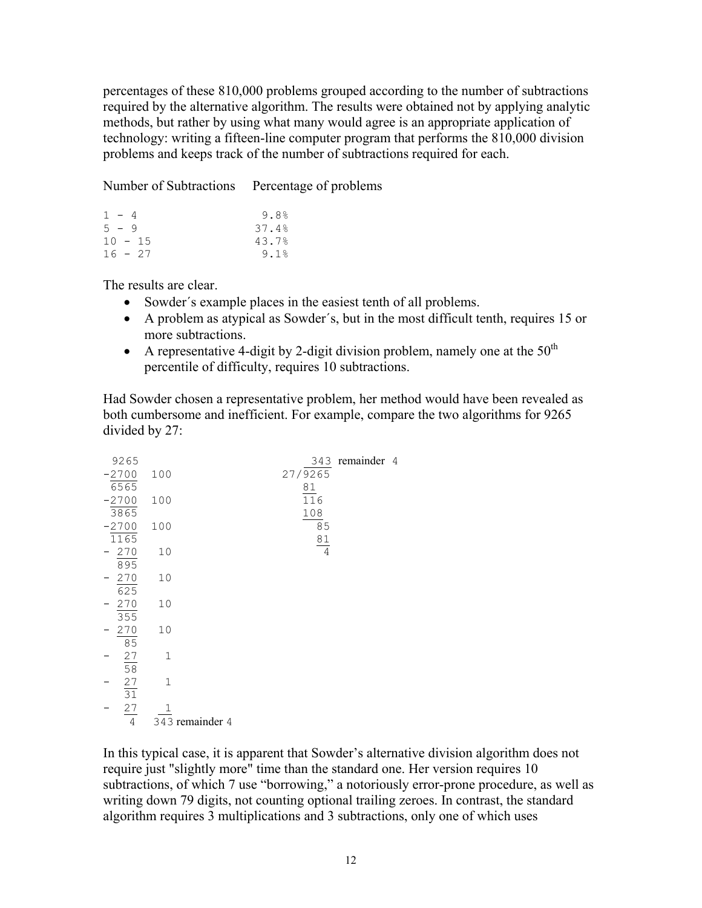percentages of these 810,000 problems grouped according to the number of subtractions required by the alternative algorithm. The results were obtained not by applying analytic methods, but rather by using what many would agree is an appropriate application of technology: writing a fifteen-line computer program that performs the 810,000 division problems and keeps track of the number of subtractions required for each.

Number of Subtractions Percentage of problems

| $1 - 4$   | 9.8%  |
|-----------|-------|
| $5 - 9$   | 37.4% |
| $10 - 15$ | 43.7% |
| $16 - 27$ | 9.1%  |

The results are clear.

- Sowder´s example places in the easiest tenth of all problems.
- A problem as atypical as Sowder´s, but in the most difficult tenth, requires 15 or more subtractions.
- A representative 4-digit by 2-digit division problem, namely one at the  $50<sup>th</sup>$ percentile of difficulty, requires 10 subtractions.

Had Sowder chosen a representative problem, her method would have been revealed as both cumbersome and inefficient. For example, compare the two algorithms for 9265 divided by 27:

| 9265            |                 |  |                  | 343 remainder 4 |  |
|-----------------|-----------------|--|------------------|-----------------|--|
| $-2700$         | 100             |  | 27/9265          |                 |  |
| 6565            |                 |  | 81               |                 |  |
| $-2700$         | 100             |  | $\overline{116}$ |                 |  |
| 3865            |                 |  | 108              |                 |  |
| $-2700$         | 100             |  | $\overline{8}5$  |                 |  |
| 1165            |                 |  | $\underline{81}$ |                 |  |
| 270             | 10              |  | $\overline{4}$   |                 |  |
| 895             |                 |  |                  |                 |  |
| $-270$<br>625   | 10              |  |                  |                 |  |
| $-270$          | 10              |  |                  |                 |  |
| 355             |                 |  |                  |                 |  |
| 270             | 10              |  |                  |                 |  |
| 85              |                 |  |                  |                 |  |
|                 | $\mathbf 1$     |  |                  |                 |  |
| $\frac{27}{58}$ |                 |  |                  |                 |  |
|                 | $\mathbf 1$     |  |                  |                 |  |
| $\frac{27}{31}$ |                 |  |                  |                 |  |
| $\frac{27}{4}$  |                 |  |                  |                 |  |
|                 | 343 remainder 4 |  |                  |                 |  |

In this typical case, it is apparent that Sowder's alternative division algorithm does not require just "slightly more" time than the standard one. Her version requires 10 subtractions, of which 7 use "borrowing," a notoriously error-prone procedure, as well as writing down 79 digits, not counting optional trailing zeroes. In contrast, the standard algorithm requires 3 multiplications and 3 subtractions, only one of which uses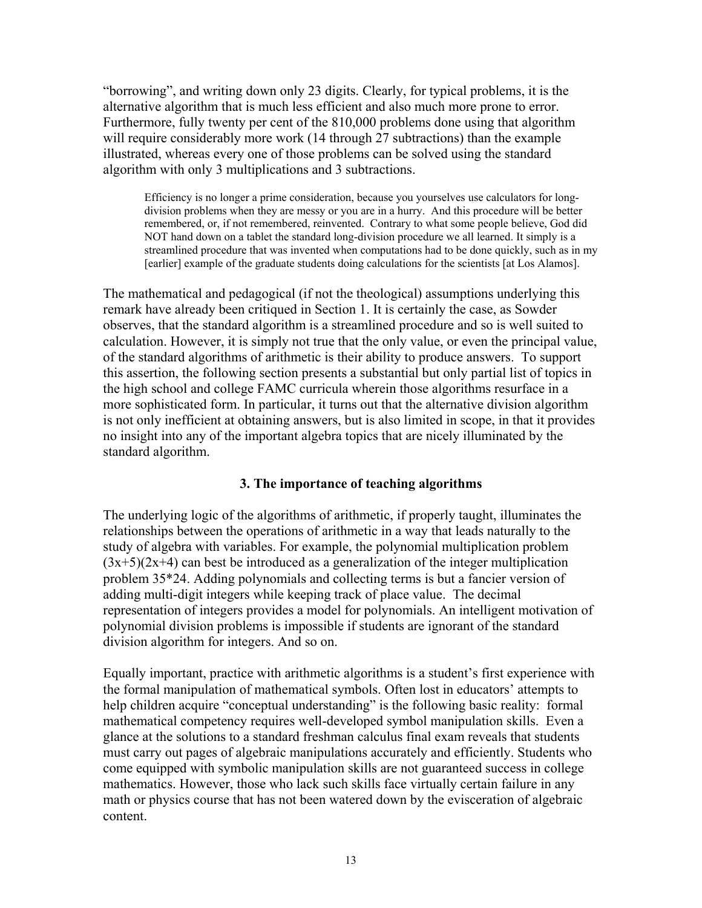"borrowing", and writing down only 23 digits. Clearly, for typical problems, it is the alternative algorithm that is much less efficient and also much more prone to error. Furthermore, fully twenty per cent of the 810,000 problems done using that algorithm will require considerably more work (14 through 27 subtractions) than the example illustrated, whereas every one of those problems can be solved using the standard algorithm with only 3 multiplications and 3 subtractions.

Efficiency is no longer a prime consideration, because you yourselves use calculators for longdivision problems when they are messy or you are in a hurry. And this procedure will be better remembered, or, if not remembered, reinvented. Contrary to what some people believe, God did NOT hand down on a tablet the standard long-division procedure we all learned. It simply is a streamlined procedure that was invented when computations had to be done quickly, such as in my [earlier] example of the graduate students doing calculations for the scientists [at Los Alamos].

The mathematical and pedagogical (if not the theological) assumptions underlying this remark have already been critiqued in Section 1. It is certainly the case, as Sowder observes, that the standard algorithm is a streamlined procedure and so is well suited to calculation. However, it is simply not true that the only value, or even the principal value, of the standard algorithms of arithmetic is their ability to produce answers. To support this assertion, the following section presents a substantial but only partial list of topics in the high school and college FAMC curricula wherein those algorithms resurface in a more sophisticated form. In particular, it turns out that the alternative division algorithm is not only inefficient at obtaining answers, but is also limited in scope, in that it provides no insight into any of the important algebra topics that are nicely illuminated by the standard algorithm.

### **3. The importance of teaching algorithms**

The underlying logic of the algorithms of arithmetic, if properly taught, illuminates the relationships between the operations of arithmetic in a way that leads naturally to the study of algebra with variables. For example, the polynomial multiplication problem  $(3x+5)(2x+4)$  can best be introduced as a generalization of the integer multiplication problem 35\*24. Adding polynomials and collecting terms is but a fancier version of adding multi-digit integers while keeping track of place value. The decimal representation of integers provides a model for polynomials. An intelligent motivation of polynomial division problems is impossible if students are ignorant of the standard division algorithm for integers. And so on.

Equally important, practice with arithmetic algorithms is a student's first experience with the formal manipulation of mathematical symbols. Often lost in educators' attempts to help children acquire "conceptual understanding" is the following basic reality: formal mathematical competency requires well-developed symbol manipulation skills. Even a glance at the solutions to a standard freshman calculus final exam reveals that students must carry out pages of algebraic manipulations accurately and efficiently. Students who come equipped with symbolic manipulation skills are not guaranteed success in college mathematics. However, those who lack such skills face virtually certain failure in any math or physics course that has not been watered down by the evisceration of algebraic content.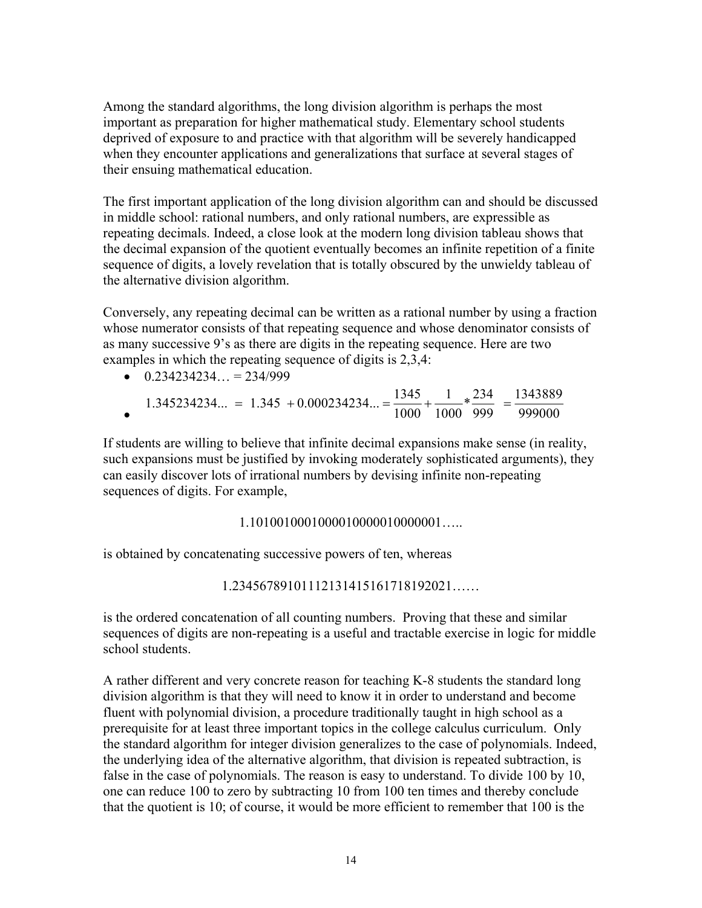Among the standard algorithms, the long division algorithm is perhaps the most important as preparation for higher mathematical study. Elementary school students deprived of exposure to and practice with that algorithm will be severely handicapped when they encounter applications and generalizations that surface at several stages of their ensuing mathematical education.

The first important application of the long division algorithm can and should be discussed in middle school: rational numbers, and only rational numbers, are expressible as repeating decimals. Indeed, a close look at the modern long division tableau shows that the decimal expansion of the quotient eventually becomes an infinite repetition of a finite sequence of digits, a lovely revelation that is totally obscured by the unwieldy tableau of the alternative division algorithm.

Conversely, any repeating decimal can be written as a rational number by using a fraction whose numerator consists of that repeating sequence and whose denominator consists of as many successive 9's as there are digits in the repeating sequence. Here are two examples in which the repeating sequence of digits is 2,3,4:

| $0.234234234 = 234/999$ |  |
|-------------------------|--|
|                         |  |

•  $1.345234234... = 1.345 + 0.000234234... = \frac{1345}{1000} + \frac{1}{1000} + \frac{234}{000} = \frac{1343889}{0.000000}$  $= 1.345 + 0.000234234... = \frac{1343}{1000} + \frac{1}{1000} + \frac{234}{999} = \frac{1343603}{999000}$ 

If students are willing to believe that infinite decimal expansions make sense (in reality, such expansions must be justified by invoking moderately sophisticated arguments), they can easily discover lots of irrational numbers by devising infinite non-repeating sequences of digits. For example,

### 1.1010010001000010000010000001…..

is obtained by concatenating successive powers of ten, whereas

1.23456789101112131415161718192021……

is the ordered concatenation of all counting numbers. Proving that these and similar sequences of digits are non-repeating is a useful and tractable exercise in logic for middle school students.

A rather different and very concrete reason for teaching K-8 students the standard long division algorithm is that they will need to know it in order to understand and become fluent with polynomial division, a procedure traditionally taught in high school as a prerequisite for at least three important topics in the college calculus curriculum. Only the standard algorithm for integer division generalizes to the case of polynomials. Indeed, the underlying idea of the alternative algorithm, that division is repeated subtraction, is false in the case of polynomials. The reason is easy to understand. To divide 100 by 10, one can reduce 100 to zero by subtracting 10 from 100 ten times and thereby conclude that the quotient is 10; of course, it would be more efficient to remember that 100 is the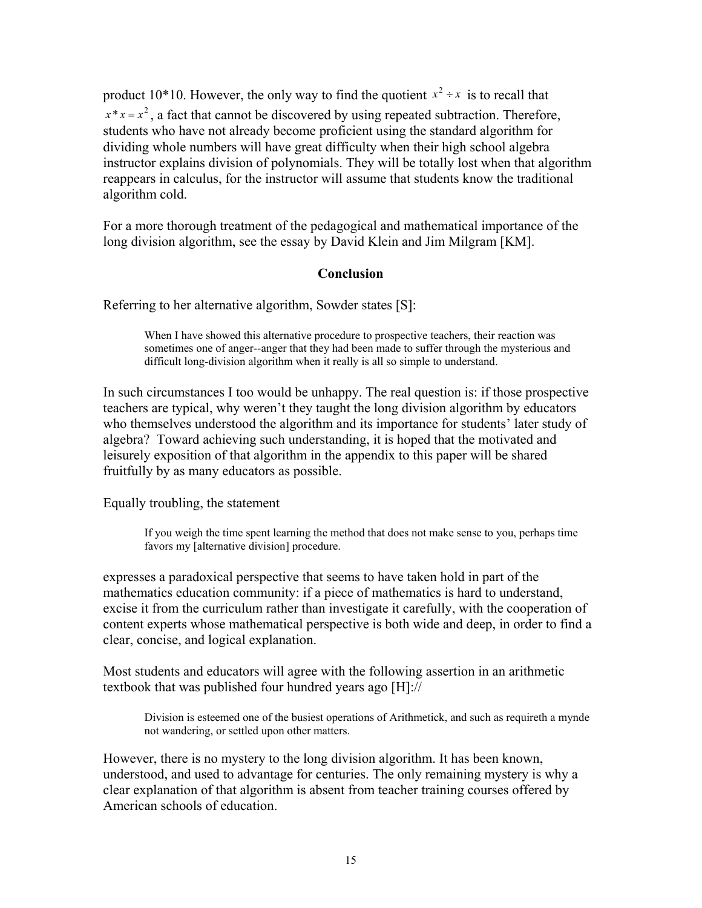product 10\*10. However, the only way to find the quotient  $x^2 \div x$  is to recall that  $x * x = x^2$ , a fact that cannot be discovered by using repeated subtraction. Therefore, students who have not already become proficient using the standard algorithm for dividing whole numbers will have great difficulty when their high school algebra instructor explains division of polynomials. They will be totally lost when that algorithm reappears in calculus, for the instructor will assume that students know the traditional algorithm cold.

For a more thorough treatment of the pedagogical and mathematical importance of the long division algorithm, see the essay by David Klein and Jim Milgram [KM].

### **Conclusion**

Referring to her alternative algorithm, Sowder states [S]:

When I have showed this alternative procedure to prospective teachers, their reaction was sometimes one of anger--anger that they had been made to suffer through the mysterious and difficult long-division algorithm when it really is all so simple to understand.

In such circumstances I too would be unhappy. The real question is: if those prospective teachers are typical, why weren't they taught the long division algorithm by educators who themselves understood the algorithm and its importance for students' later study of algebra? Toward achieving such understanding, it is hoped that the motivated and leisurely exposition of that algorithm in the appendix to this paper will be shared fruitfully by as many educators as possible.

Equally troubling, the statement

If you weigh the time spent learning the method that does not make sense to you, perhaps time favors my [alternative division] procedure.

expresses a paradoxical perspective that seems to have taken hold in part of the mathematics education community: if a piece of mathematics is hard to understand, excise it from the curriculum rather than investigate it carefully, with the cooperation of content experts whose mathematical perspective is both wide and deep, in order to find a clear, concise, and logical explanation.

Most students and educators will agree with the following assertion in an arithmetic textbook that was published four hundred years ago [H]://

Division is esteemed one of the busiest operations of Arithmetick, and such as requireth a mynde not wandering, or settled upon other matters.

However, there is no mystery to the long division algorithm. It has been known, understood, and used to advantage for centuries. The only remaining mystery is why a clear explanation of that algorithm is absent from teacher training courses offered by American schools of education.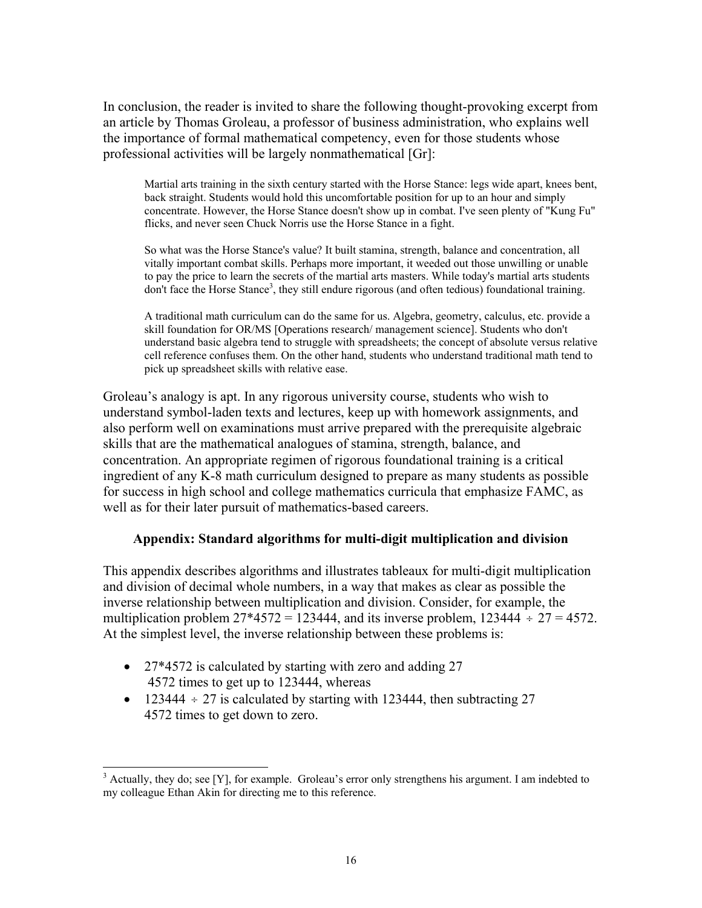In conclusion, the reader is invited to share the following thought-provoking excerpt from an article by Thomas Groleau, a professor of business administration, who explains well the importance of formal mathematical competency, even for those students whose professional activities will be largely nonmathematical [Gr]:

Martial arts training in the sixth century started with the Horse Stance: legs wide apart, knees bent, back straight. Students would hold this uncomfortable position for up to an hour and simply concentrate. However, the Horse Stance doesn't show up in combat. I've seen plenty of "Kung Fu" flicks, and never seen Chuck Norris use the Horse Stance in a fight.

So what was the Horse Stance's value? It built stamina, strength, balance and concentration, all vitally important combat skills. Perhaps more important, it weeded out those unwilling or unable to pay the price to learn the secrets of the martial arts masters. While today's martial arts students don't face the Horse Stance<sup>3</sup>, they still endure rigorous (and often tedious) foundational training.

A traditional math curriculum can do the same for us. Algebra, geometry, calculus, etc. provide a skill foundation for OR/MS [Operations research/ management science]. Students who don't understand basic algebra tend to struggle with spreadsheets; the concept of absolute versus relative cell reference confuses them. On the other hand, students who understand traditional math tend to pick up spreadsheet skills with relative ease.

Groleau's analogy is apt. In any rigorous university course, students who wish to understand symbol-laden texts and lectures, keep up with homework assignments, and also perform well on examinations must arrive prepared with the prerequisite algebraic skills that are the mathematical analogues of stamina, strength, balance, and concentration. An appropriate regimen of rigorous foundational training is a critical ingredient of any K-8 math curriculum designed to prepare as many students as possible for success in high school and college mathematics curricula that emphasize FAMC, as well as for their later pursuit of mathematics-based careers.

### **Appendix: Standard algorithms for multi-digit multiplication and division**

This appendix describes algorithms and illustrates tableaux for multi-digit multiplication and division of decimal whole numbers, in a way that makes as clear as possible the inverse relationship between multiplication and division. Consider, for example, the multiplication problem  $27*4572 = 123444$ , and its inverse problem,  $123444 \div 27 = 4572$ . At the simplest level, the inverse relationship between these problems is:

• 27\*4572 is calculated by starting with zero and adding 27 4572 times to get up to 123444, whereas

 $\overline{a}$ 

• 123444  $\div$  27 is calculated by starting with 123444, then subtracting 27 4572 times to get down to zero.

 $3$  Actually, they do; see [Y], for example. Groleau's error only strengthens his argument. I am indebted to my colleague Ethan Akin for directing me to this reference.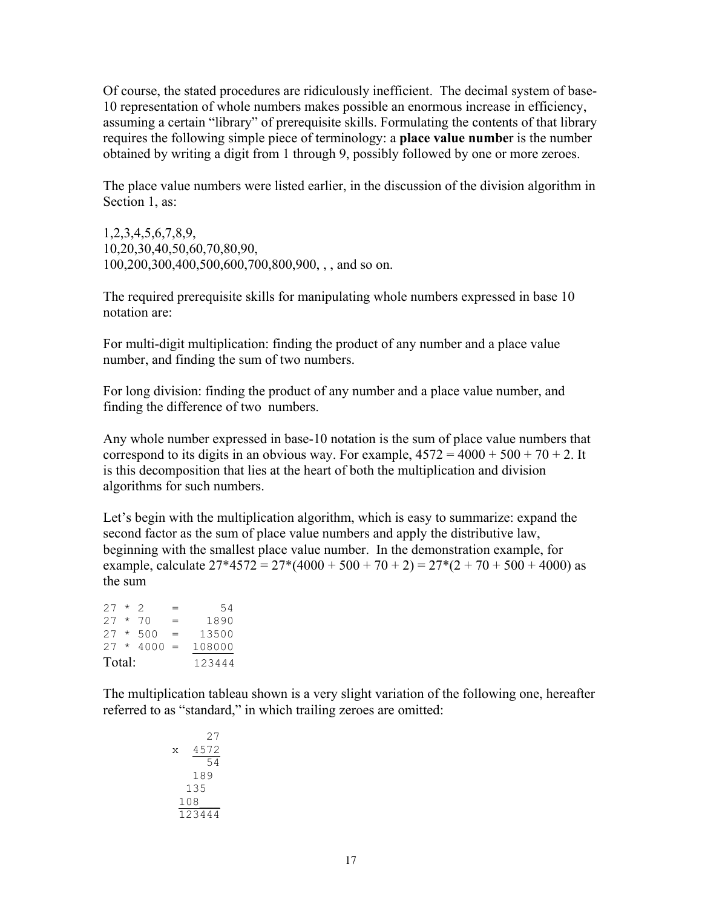Of course, the stated procedures are ridiculously inefficient. The decimal system of base-10 representation of whole numbers makes possible an enormous increase in efficiency, assuming a certain "library" of prerequisite skills. Formulating the contents of that library requires the following simple piece of terminology: a **place value numbe**r is the number obtained by writing a digit from 1 through 9, possibly followed by one or more zeroes.

The place value numbers were listed earlier, in the discussion of the division algorithm in Section 1, as:

1,2,3,4,5,6,7,8,9, 10,20,30,40,50,60,70,80,90, 100,200,300,400,500,600,700,800,900, , , and so on.

The required prerequisite skills for manipulating whole numbers expressed in base 10 notation are:

For multi-digit multiplication: finding the product of any number and a place value number, and finding the sum of two numbers.

For long division: finding the product of any number and a place value number, and finding the difference of two numbers.

Any whole number expressed in base-10 notation is the sum of place value numbers that correspond to its digits in an obvious way. For example,  $4572 = 4000 + 500 + 70 + 2$ . It is this decomposition that lies at the heart of both the multiplication and division algorithms for such numbers.

Let's begin with the multiplication algorithm, which is easy to summarize: expand the second factor as the sum of place value numbers and apply the distributive law, beginning with the smallest place value number. In the demonstration example, for example, calculate  $27*4572 = 27*(4000 + 500 + 70 + 2) = 27*(2 + 70 + 500 + 4000)$  as the sum

 $27 * 2 = 54$  $27 * 70 = 1890$  $27 * 500 = 13500$  $27 * 4000 = 108000$ Total: 123444

The multiplication tableau shown is a very slight variation of the following one, hereafter referred to as "standard," in which trailing zeroes are omitted:

 27 x 4572 54 189 135 108\_\_\_ 123444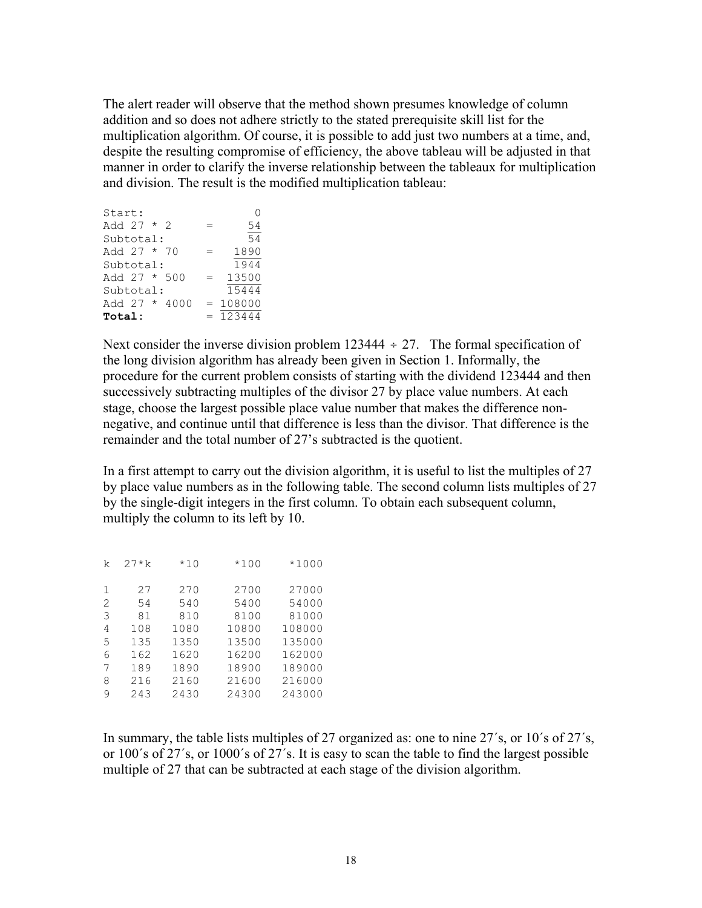The alert reader will observe that the method shown presumes knowledge of column addition and so does not adhere strictly to the stated prerequisite skill list for the multiplication algorithm. Of course, it is possible to add just two numbers at a time, and, despite the resulting compromise of efficiency, the above tableau will be adjusted in that manner in order to clarify the inverse relationship between the tableaux for multiplication and division. The result is the modified multiplication tableau:

| Start:         |  |                 |     |            |
|----------------|--|-----------------|-----|------------|
| Add 27 * 2     |  |                 | =   | 54         |
| Subtotal:      |  |                 |     | 54         |
| Add $27 * 70$  |  |                 |     | 1890       |
| Subtotal:      |  |                 |     | 1944       |
| Add $27 * 500$ |  |                 | $=$ | 13500      |
| Subtotal:      |  |                 |     | 15444      |
|                |  | Add $27 * 4000$ |     | $= 108000$ |
| Total:         |  |                 |     | $= 123444$ |

Next consider the inverse division problem  $123444 \div 27$ . The formal specification of the long division algorithm has already been given in Section 1. Informally, the procedure for the current problem consists of starting with the dividend 123444 and then successively subtracting multiples of the divisor 27 by place value numbers. At each stage, choose the largest possible place value number that makes the difference nonnegative, and continue until that difference is less than the divisor. That difference is the remainder and the total number of 27's subtracted is the quotient.

In a first attempt to carry out the division algorithm, it is useful to list the multiples of 27 by place value numbers as in the following table. The second column lists multiples of 27 by the single-digit integers in the first column. To obtain each subsequent column, multiply the column to its left by 10.

| k | $27* k$ | $*10$ | $*100$ | $*1000$ |
|---|---------|-------|--------|---------|
| 1 | 27      | 270   | 2700   | 27000   |
| 2 | 54      | 540   | 5400   | 54000   |
| 3 | 81      | 810   | 8100   | 81000   |
| 4 | 108     | 1080  | 10800  | 108000  |
| 5 | 135     | 1350  | 13500  | 135000  |
| 6 | 162     | 1620  | 16200  | 162000  |
| 7 | 189     | 1890  | 18900  | 189000  |
| 8 | 216     | 2160  | 21600  | 216000  |
| 9 | 243     | 2430  | 24300  | 243000  |

In summary, the table lists multiples of 27 organized as: one to nine 27´s, or 10´s of 27´s, or 100´s of 27´s, or 1000´s of 27´s. It is easy to scan the table to find the largest possible multiple of 27 that can be subtracted at each stage of the division algorithm.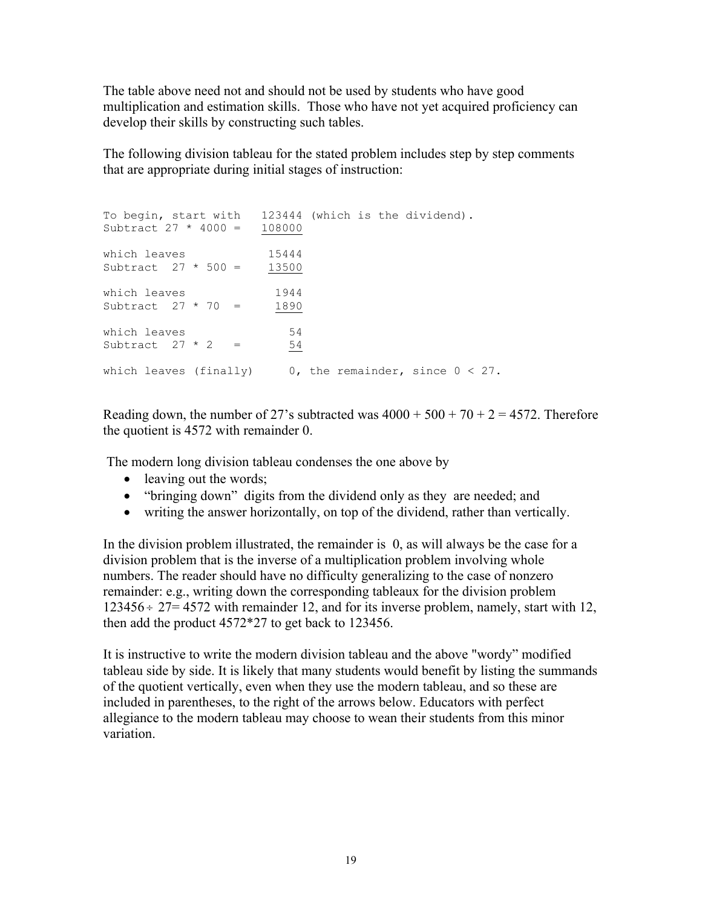The table above need not and should not be used by students who have good multiplication and estimation skills. Those who have not yet acquired proficiency can develop their skills by constructing such tables.

The following division tableau for the stated problem includes step by step comments that are appropriate during initial stages of instruction:

```
To begin, start with 123444 (which is the dividend).
Subtract 27 * 4000 = 108000which leaves 15444
Subtract 27 * 500 = 13500which leaves 1944
Subtract 27 * 70 = 1890which leaves 54
Subtract 27 * 2 = 54which leaves (finally) 0, the remainder, since 0 < 27.
```
Reading down, the number of 27's subtracted was  $4000 + 500 + 70 + 2 = 4572$ . Therefore the quotient is 4572 with remainder 0.

The modern long division tableau condenses the one above by

- leaving out the words;
- "bringing down" digits from the dividend only as they are needed; and
- writing the answer horizontally, on top of the dividend, rather than vertically.

In the division problem illustrated, the remainder is 0, as will always be the case for a division problem that is the inverse of a multiplication problem involving whole numbers. The reader should have no difficulty generalizing to the case of nonzero remainder: e.g., writing down the corresponding tableaux for the division problem  $123456 \div 27 = 4572$  with remainder 12, and for its inverse problem, namely, start with 12, then add the product 4572\*27 to get back to 123456.

It is instructive to write the modern division tableau and the above "wordy" modified tableau side by side. It is likely that many students would benefit by listing the summands of the quotient vertically, even when they use the modern tableau, and so these are included in parentheses, to the right of the arrows below. Educators with perfect allegiance to the modern tableau may choose to wean their students from this minor variation.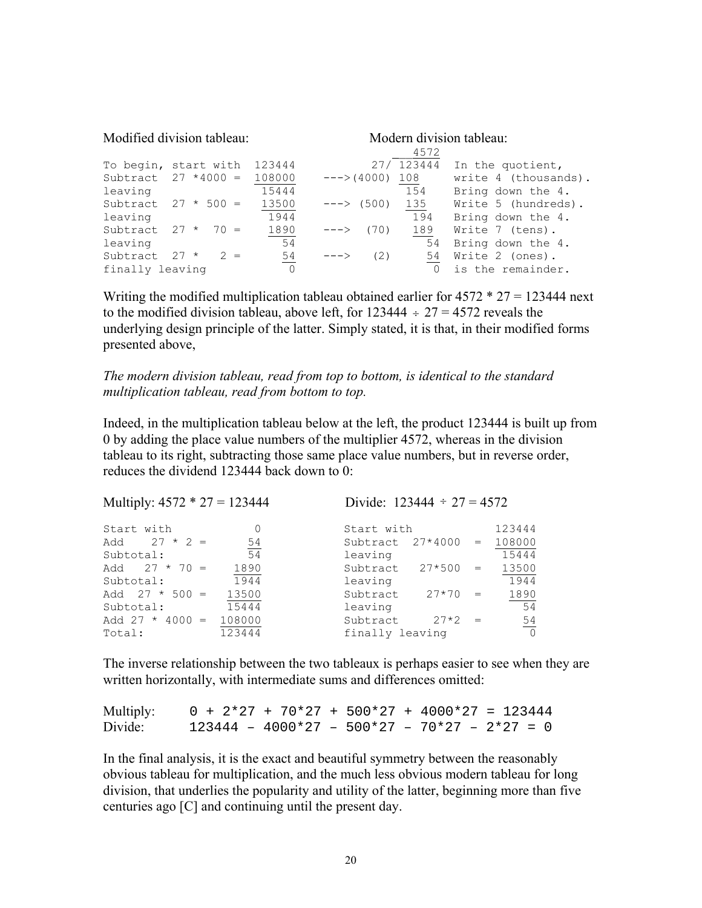| Modified division tableau:        |                        |        | Modern division tableau:<br>4572 |              |            |                      |
|-----------------------------------|------------------------|--------|----------------------------------|--------------|------------|----------------------|
|                                   | To begin, start with   | 123444 |                                  |              | 27/ 123444 | In the quotient,     |
|                                   | Subtract $27 * 4000 =$ | 108000 |                                  | $---(4000)$  | 108        | write 4 (thousands). |
| leaving                           |                        | 15444  |                                  |              | 154        | Bring down the 4.    |
|                                   | Subtract $27 * 500 =$  | 13500  |                                  | $---> (500)$ | 135        | Write 5 (hundreds).  |
| leaving                           |                        | 1944   |                                  |              | 194        | Bring down the 4.    |
| Subtract 27 *                     | $70 =$                 | 1890   | ーーー>                             | (70)         | 189        | Write 7 (tens).      |
| leaving                           |                        | 54     |                                  |              | 54         | Bring down the 4.    |
| Subtract                          | $2 =$<br>$27 *$        | 54     | $--->$                           | (2)          | 54         | Write 2 (ones).      |
| $\overline{0}$<br>finally leaving |                        |        |                                  |              | $\Omega$   | is the remainder.    |

Writing the modified multiplication tableau obtained earlier for  $4572 * 27 = 123444$  next to the modified division tableau, above left, for  $123444 \div 27 = 4572$  reveals the underlying design principle of the latter. Simply stated, it is that, in their modified forms presented above,

*The modern division tableau, read from top to bottom, is identical to the standard multiplication tableau, read from bottom to top.* 

Indeed, in the multiplication tableau below at the left, the product 123444 is built up from 0 by adding the place value numbers of the multiplier 4572, whereas in the division tableau to its right, subtracting those same place value numbers, but in reverse order, reduces the dividend 123444 back down to 0:

| Multiply: $4572 * 27 = 123444$ |          |                         | Divide: $123444 \div 27 = 4572$ |                |  |  |
|--------------------------------|----------|-------------------------|---------------------------------|----------------|--|--|
| Start with                     | $\Omega$ | Start with              |                                 | 123444         |  |  |
| Add $27 * 2 =$                 | 54       | $27*4000 =$<br>Subtract |                                 | 108000         |  |  |
| Subtotal:                      | 54       | leaving                 |                                 | 15444          |  |  |
| Add $27 * 70 =$                | 1890     | $27*500$<br>Subtract    | $=$                             | 13500          |  |  |
| Subtotal:                      | 1944     | leaving                 |                                 | 1944           |  |  |
| Add $27 * 500 =$               | 13500    | $27*70$<br>Subtract     | $=$                             | 1890           |  |  |
| Subtotal:                      | 15444    | leaving                 |                                 | 54             |  |  |
| Add 27 $*$ 4000 =              | 108000   | Subtract<br>$27*2$      | $=$                             | $\frac{54}{0}$ |  |  |
| Total:                         | 123444   | finally leaving         |                                 |                |  |  |

The inverse relationship between the two tableaux is perhaps easier to see when they are written horizontally, with intermediate sums and differences omitted:

Multiply:  $0 + 2*27 + 70*27 + 500*27 + 4000*27 = 123444$ Divide:  $123444 - 4000*27 - 500*27 - 70*27 - 2*27 = 0$ 

In the final analysis, it is the exact and beautiful symmetry between the reasonably obvious tableau for multiplication, and the much less obvious modern tableau for long division, that underlies the popularity and utility of the latter, beginning more than five centuries ago [C] and continuing until the present day.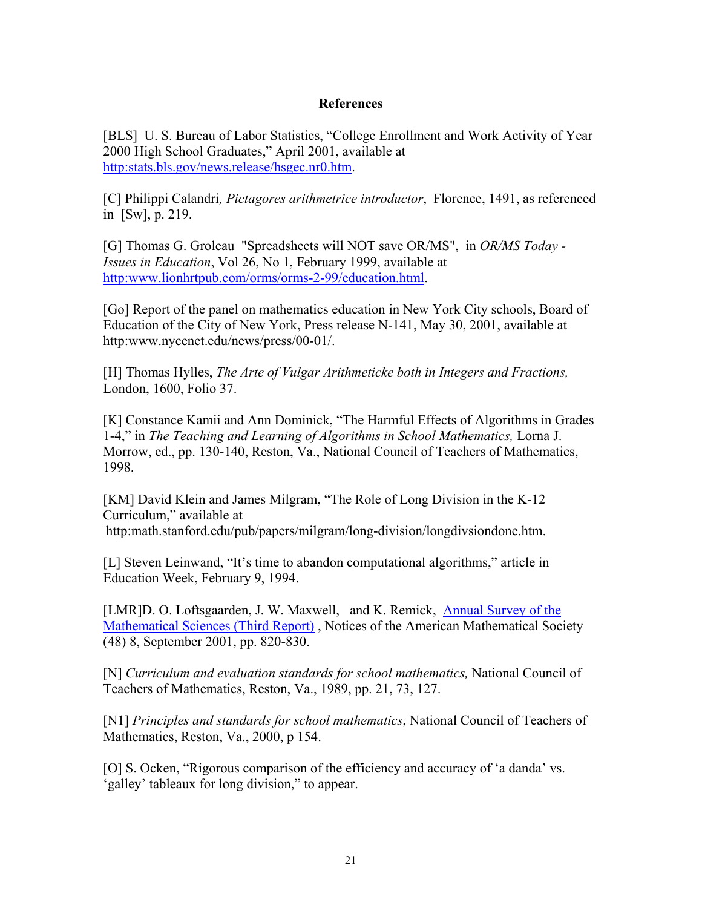## **References**

[BLS] U. S. Bureau of Labor Statistics, "College Enrollment and Work Activity of Year 2000 High School Graduates," April 2001, available at http:stats.bls.gov/news.release/hsgec.nr0.htm.

[C] Philippi Calandri*, Pictagores arithmetrice introductor*, Florence, 1491, as referenced in [Sw], p. 219.

[G] Thomas G. Groleau "Spreadsheets will NOT save OR/MS", in *OR/MS Today - Issues in Education*, Vol 26, No 1, February 1999, available at http:www.lionhrtpub.com/orms/orms-2-99/education.html.

[Go] Report of the panel on mathematics education in New York City schools, Board of Education of the City of New York, Press release N-141, May 30, 2001, available at http:www.nycenet.edu/news/press/00-01/.

[H] Thomas Hylles, *The Arte of Vulgar Arithmeticke both in Integers and Fractions,* London, 1600, Folio 37.

[K] Constance Kamii and Ann Dominick, "The Harmful Effects of Algorithms in Grades 1-4," in *The Teaching and Learning of Algorithms in School Mathematics,* Lorna J. Morrow, ed., pp. 130-140, Reston, Va., National Council of Teachers of Mathematics, 1998.

[KM] David Klein and James Milgram, "The Role of Long Division in the K-12 Curriculum," available at http:math.stanford.edu/pub/papers/milgram/long-division/longdivsiondone.htm.

[L] Steven Leinwand, "It's time to abandon computational algorithms," article in Education Week, February 9, 1994.

[LMR]D. O. Loftsgaarden, J. W. Maxwell, and K. Remick, Annual Survey of the Mathematical Sciences (Third Report) , Notices of the American Mathematical Society (48) 8, September 2001, pp. 820-830.

[N] *Curriculum and evaluation standards for school mathematics,* National Council of Teachers of Mathematics, Reston, Va., 1989, pp. 21, 73, 127.

[N1] *Principles and standards for school mathematics*, National Council of Teachers of Mathematics, Reston, Va., 2000, p 154.

[O] S. Ocken, "Rigorous comparison of the efficiency and accuracy of 'a danda' vs. 'galley' tableaux for long division," to appear.